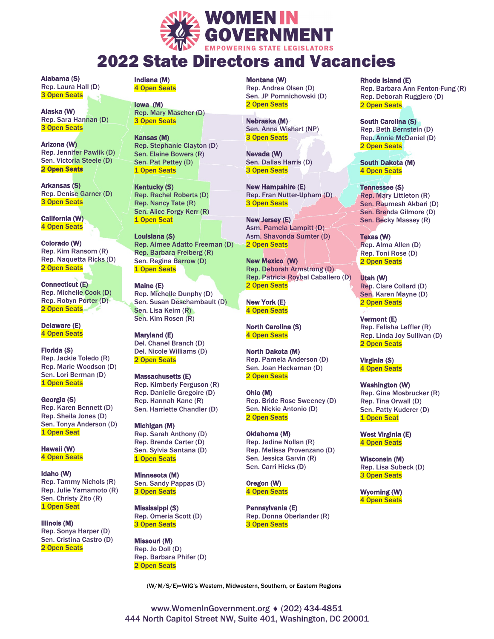

## 2022 State Directors and Vacancies

Alabama (S) Rep. Laura Hall (D) 3 Open Seats

Alaska (W) Rep. Sara Hannan (D) 3 Open Seats

Arizona (W) Rep. Jennifer Pawlik (D) Sen. Victoria Steele (D) 2 Open Seats

Arkansas (S) Rep. Denise Garner (D) 3 Open Seats

California (W) 4 Open Seats

Colorado (W) Rep. Kim Ransom (R) Rep. Naquetta Ricks (D) 2 Open Seats

Connecticut (E) Rep. Michelle Cook (D) Rep. Robyn Porter (D) 2 Open Seats

Delaware (E) 4 Open Seats

Florida (S) Rep. Jackie Toledo (R) Rep. Marie Woodson (D) Sen. Lori Berman (D) 1 Open Seats

Georgia (S) Rep. Karen Bennett (D) Rep. Sheila Jones (D) Sen. Tonya Anderson (D) 1 Open Seat

Hawaii (W) 4 Open Seats

Idaho (W) Rep. Tammy Nichols (R) Rep. Julie Yamamoto (R) Sen. Christy Zito (R) 1 Open Seat

Illinois (M) Rep. Sonya Harper (D) Sen. Cristina Castro (D) 2 Open Seats

Indiana (M) 4 Open Seats

> Iowa (M) Rep. Mary Mascher (D) 3 Open Seats

Kansas (M) Rep. Stephanie Clayton (D) Sen. Elaine Bowers (R) Sen. Pat Pettey (D) 1 Open Seats

Kentucky (S) Rep. Rachel Roberts (D) Rep. Nancy Tate (R) Sen. Alice Forgy Kerr (R) 1 Open Seat

Louisiana (S) Rep. Aimee Adatto Freeman (D) Rep. Barbara Freiberg (R) Sen. Regina Barrow (D) 1 Open Seats

Maine (E) Rep. Michelle Dunphy (D) Sen. Susan Deschambault (D) Sen. Lisa Keim (R) Sen. Kim Rosen (R)

Maryland (E) Del. Chanel Branch (D) Del. Nicole Williams (D) 2 Open Seats

Massachusetts (E) Rep. Kimberly Ferguson (R) Rep. Danielle Gregoire (D) Rep. Hannah Kane (R) Sen. Harriette Chandler (D)

Michigan (M) Rep. Sarah Anthony (D) Rep. Brenda Carter (D) Sen. Sylvia Santana (D) 1 Open Seats

Minnesota (M) Sen. Sandy Pappas (D) 3 Open Seats

Mississippi (S) Rep. Omeria Scott (D) 3 Open Seats

Missouri (M) Rep. Jo Doll (D) Rep. Barbara Phifer (D) 2 Open Seats

Montana (W) Rep. Andrea Olsen (D) Sen. JP Pomnichowski (D) 2 Open Seats

Nebraska (M) Sen. Anna Wishart (NP) 3 Open Seats

Nevada (W) Sen. Dallas Harris (D) 3 Open Seats

New Hampshire (E) Rep. Fran Nutter-Upham (D) 3 Open Seats

New Jersey (E) Asm. Pamela Lampitt (D) Asm. Shavonda Sumter (D) 2 Open Seats

New Mexico (W) Rep. Deborah Armstrong (D) Rep. Patricia Roybal Caballero (D) 2 Open Seats

New York (E) 4 Open Seats

North Carolina (S) 4 Open Seats

North Dakota (M) Rep. Pamela Anderson (D) Sen. Joan Heckaman (D) 2 Open Seats

Ohio (M) Rep. Bride Rose Sweeney (D) Sen. Nickie Antonio (D) 2 Open Seats

Oklahoma (M) Rep. Jadine Nollan (R) Rep. Melissa Provenzano (D) Sen. Jessica Garvin (R) Sen. Carri Hicks (D)

Oregon (W) 4 Open Seats

Pennsylvania (E) Rep. Donna Oberlander (R) 3 Open Seats

Rhode Island (E)

Rep. Barbara Ann Fenton-Fung (R) Rep. Deborah Ruggiero (D) 2 Open Seats

South Carolina (S) Rep. Beth Bernstein (D) Rep. Annie McDaniel (D) 2 Open Seats

South Dakota (M) 4 Open Seats

Tennessee (S) Rep. Mary Littleton (R) Sen. Raumesh Akbari (D) Sen. Brenda Gilmore (D) Sen. Becky Massey (R)

Texas (W) Rep. Alma Allen (D) Rep. Toni Rose (D) 2 Open Seats

í

Utah (W) Rep. Clare Collard (D) Sen. Karen Mayne (D) 2 Open Seats

Vermont (E) Rep. Felisha Leffler (R) Rep. Linda Joy Sullivan (D) 2 Open Seats

Virginia (S) 4 Open Seats

Washington (W) Rep. Gina Mosbrucker (R) Rep. Tina Orwall (D) Sen. Patty Kuderer (D) 1 Open Seat

West Virginia (E) 4 Open Seats

Wisconsin (M) Rep. Lisa Subeck (D) 3 Open Seats

Wyoming (W) 4 Open Seats

(W/M/S/E)=WIG's Western, Midwestern, Southern, or Eastern Regions